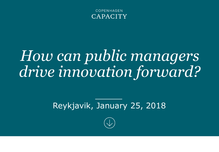

## *How can public managers drive innovation forward?*

#### Reykjavik, January 25, 2018

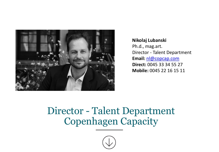

**Nikolaj Lubanski** Ph.d., mag.art. Director - Talent Department **Email:** [nl@copcap.com](mailto:nl@copcap.com) **Direct:** 0045 33 34 55 27 **Mobile:** 0045 22 16 15 11

### Director - Talent Department Copenhagen Capacity

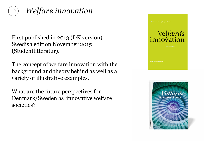

First published in 2013 (DK version). Swedish edition November 2015 (Studentlitteratur).

The concept of welfare innovation with the background and theory behind as well as a variety of illustrative examples.

What are the future perspectives for Denmark/Sweden as innovative welfare societies?



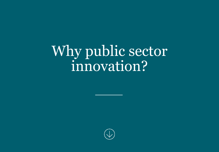Why public sector innovation?

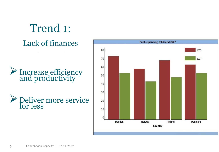## Trend 1:

Lack of finances

#### >Increase efficiency and productivity

#### Deliver more service for less

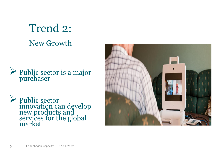## Trend 2: New Growth

#### Public sector is a major purchaser

 Public sector innovation can develop new products and services for the global market

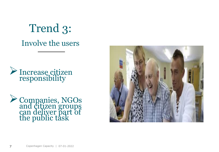## Trend 3: Involve the users

Increase citizen responsibility

Companies, NGOs and citizen groups can deliver part of the public task

![](_page_6_Picture_3.jpeg)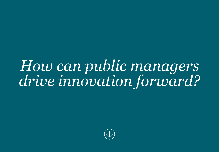## *How can public managers drive innovation forward?*

![](_page_7_Picture_1.jpeg)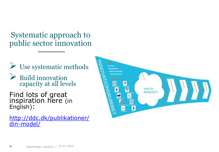Systematic approach to public sector innovation

- $\triangleright$  Use systematic methods
- Build innovation capacity at all levels

Find lots of great inspiration here (in English):

[http://ddc.dk/publikationer/](http://ddc.dk/publikationer/din-model/) din-model/

![](_page_8_Picture_5.jpeg)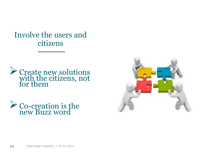Involve the users and citizens

![](_page_9_Picture_1.jpeg)

► Co-creation is the new Buzz word

![](_page_9_Picture_3.jpeg)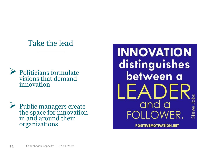#### Take the lead

![](_page_10_Picture_1.jpeg)

 Public managers create the space for innovation in and around their organizations

**INNOVATION** distinguishes between a and a Steve LOWER.

**POSITIVEMOTIVATION.NET**